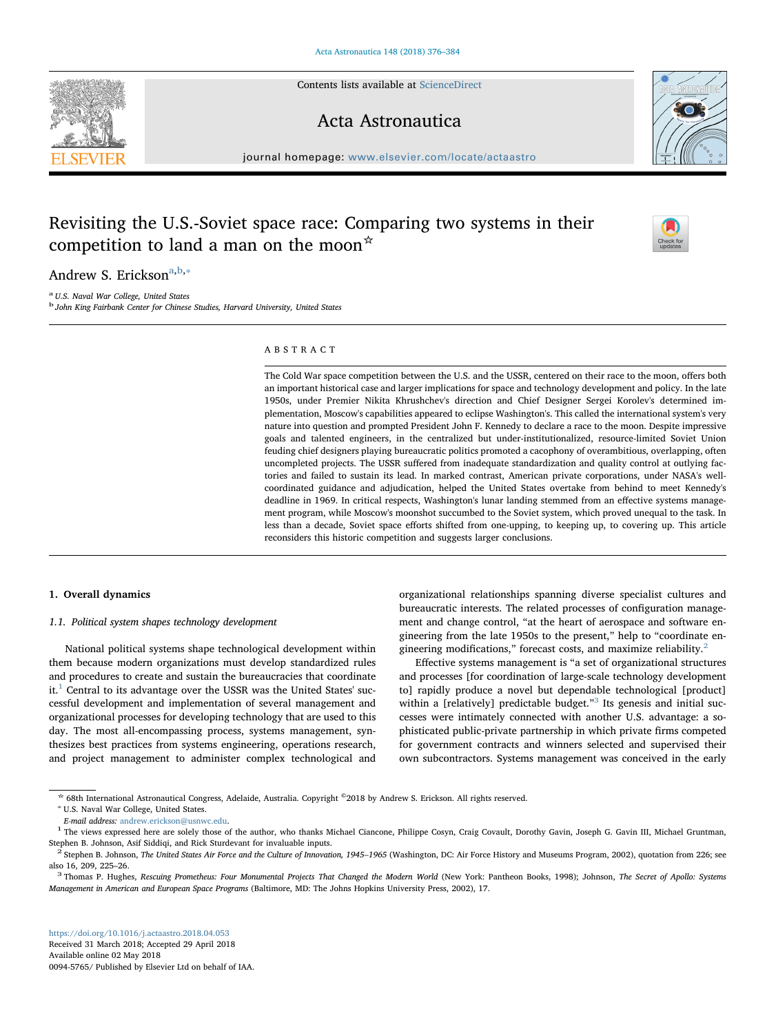Contents lists available at [ScienceDirect](http://www.sciencedirect.com/science/journal/00945765)

## Acta Astronautica

 $j$ ournal homepage: [www.elsevier.com/locate/actaastro](https://www.elsevier.com/locate/actaastro)n.com/locate/actaastron.com/locate/actaastron.com/locate/actaastron.com/locate/actaastron.com/locate/actaastron.com/locate/actaastron.com/locate/actaastron.com/locate/a

# Revisiting the U.S.-Soviet space race: Comparing two systems in their competition to land a man on the moon\*

Andrew S. Erickson<sup>[a,](#page-0-0)[b](#page-0-1),[∗](#page-0-2)</sup>

<span id="page-0-1"></span><span id="page-0-0"></span><sup>a</sup> U.S. Naval War College, United States <sup>b</sup> John King Fairbank Center for Chinese Studies, Harvard University, United States

### ABSTRACT

The Cold War space competition between the U.S. and the USSR, centered on their race to the moon, offers both an important historical case and larger implications for space and technology development and policy. In the late 1950s, under Premier Nikita Khrushchev's direction and Chief Designer Sergei Korolev's determined implementation, Moscow's capabilities appeared to eclipse Washington's. This called the international system's very nature into question and prompted President John F. Kennedy to declare a race to the moon. Despite impressive goals and talented engineers, in the centralized but under-institutionalized, resource-limited Soviet Union feuding chief designers playing bureaucratic politics promoted a cacophony of overambitious, overlapping, often uncompleted projects. The USSR suffered from inadequate standardization and quality control at outlying factories and failed to sustain its lead. In marked contrast, American private corporations, under NASA's wellcoordinated guidance and adjudication, helped the United States overtake from behind to meet Kennedy's deadline in 1969. In critical respects, Washington's lunar landing stemmed from an effective systems management program, while Moscow's moonshot succumbed to the Soviet system, which proved unequal to the task. In less than a decade, Soviet space efforts shifted from one-upping, to keeping up, to covering up. This article reconsiders this historic competition and suggests larger conclusions.

## 1. Overall dynamics

## 1.1. Political system shapes technology development

National political systems shape technological development within them because modern organizations must develop standardized rules and procedures to create and sustain the bureaucracies that coordinate  $it<sup>1</sup>$  $it<sup>1</sup>$  $it<sup>1</sup>$  Central to its advantage over the USSR was the United States' successful development and implementation of several management and organizational processes for developing technology that are used to this day. The most all-encompassing process, systems management, synthesizes best practices from systems engineering, operations research, and project management to administer complex technological and

organizational relationships spanning diverse specialist cultures and bureaucratic interests. The related processes of configuration management and change control, "at the heart of aerospace and software engineering from the late 1950s to the present," help to "coordinate en-gineering modifications," forecast costs, and maximize reliability.<sup>[2](#page-0-4)</sup>

Effective systems management is "a set of organizational structures and processes [for coordination of large-scale technology development to] rapidly produce a novel but dependable technological [product] within a [relatively] predictable budget."<sup>[3](#page-0-5)</sup> Its genesis and initial successes were intimately connected with another U.S. advantage: a sophisticated public-private partnership in which private firms competed for government contracts and winners selected and supervised their own subcontractors. Systems management was conceived in the early





[T](http://crossmark.crossref.org/dialog/?doi=10.1016/j.actaastro.2018.04.053&domain=pdf)

<span id="page-0-2"></span><sup>☆</sup> 68th International Astronautical Congress, Adelaide, Australia. Copyright ©2018 by Andrew S. Erickson. All rights reserved. <sup>∗</sup> U.S. Naval War College, United States.

<span id="page-0-3"></span>E-mail address: [andrew.erickson@usnwc.edu](mailto:andrew.erickson@usnwc.edu).<br><sup>1</sup> The views expressed here are solely those of the author, who thanks Michael Ciancone, Philippe Cosyn, Craig Covault, Dorothy Gavin, Joseph G. Gavin III, Michael Gruntman,<br>Step

<span id="page-0-4"></span><sup>&</sup>lt;sup>2</sup> Stephen B. Johnson, The United States Air Force and the Culture of Innovation, 1945-1965 (Washington, DC: Air Force History and Museums Program, 2002), quotation from 226; see also 16, 209, 225–26.<br><sup>3</sup> Thomas P. Hughes, Rescuing Prometheus: Four Monumental Projects That Changed the Modern World (New York: Pantheon Books, 1998); Johnson, The Secret of Apollo: Systems

<span id="page-0-5"></span>Management in American and European Space Programs (Baltimore, MD: The Johns Hopkins University Press, 2002), 17.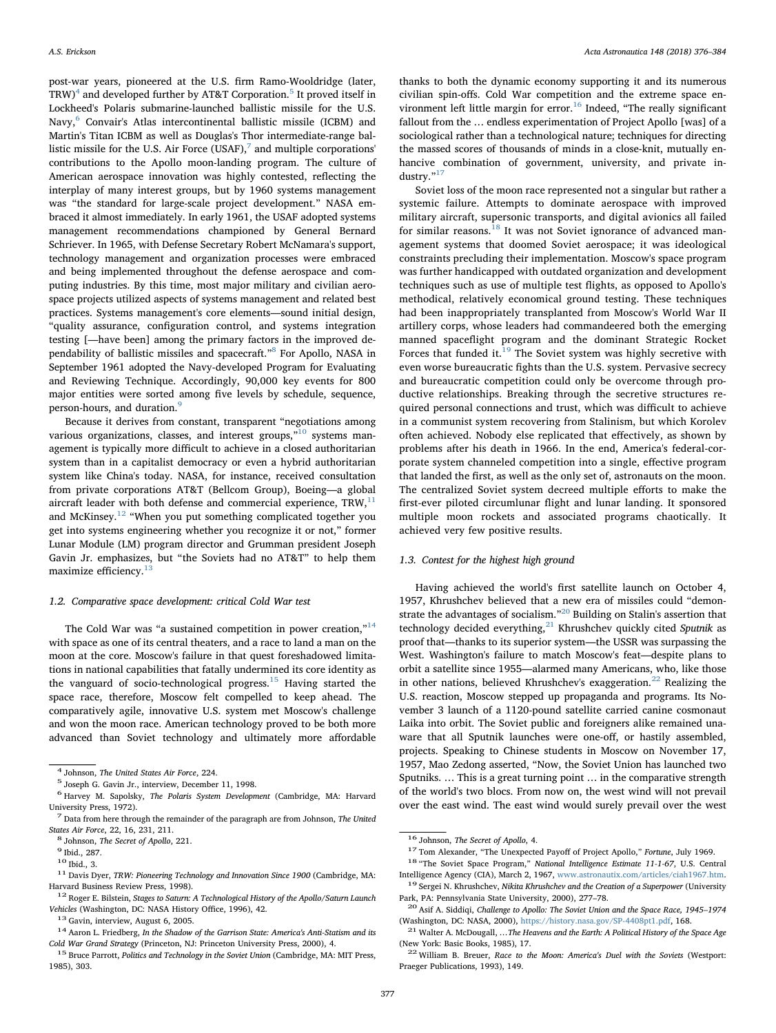post-war years, pioneered at the U.S. firm Ramo-Wooldridge (later,  $TRW)^4$  $TRW)^4$  and developed further by AT&T Corporation.<sup>[5](#page-1-1)</sup> It proved itself in Lockheed's Polaris submarine-launched ballistic missile for the U.S. Navy,<sup>[6](#page-1-2)</sup> Convair's Atlas intercontinental ballistic missile (ICBM) and Martin's Titan ICBM as well as Douglas's Thor intermediate-range ballistic missile for the U.S. Air Force  $(USAF)$ , and multiple corporations' contributions to the Apollo moon-landing program. The culture of American aerospace innovation was highly contested, reflecting the interplay of many interest groups, but by 1960 systems management was "the standard for large-scale project development." NASA embraced it almost immediately. In early 1961, the USAF adopted systems management recommendations championed by General Bernard Schriever. In 1965, with Defense Secretary Robert McNamara's support, technology management and organization processes were embraced and being implemented throughout the defense aerospace and computing industries. By this time, most major military and civilian aerospace projects utilized aspects of systems management and related best practices. Systems management's core elements—sound initial design, "quality assurance, configuration control, and systems integration testing [—have been] among the primary factors in the improved de-pendability of ballistic missiles and spacecraft."<sup>[8](#page-1-4)</sup> For Apollo, NASA in September 1961 adopted the Navy-developed Program for Evaluating and Reviewing Technique. Accordingly, 90,000 key events for 800 major entities were sorted among five levels by schedule, sequence, person-hours, and duration.<sup>[9](#page-1-5)</sup>

Because it derives from constant, transparent "negotiations among various organizations, classes, and interest groups,"<sup>[10](#page-1-6)</sup> systems management is typically more difficult to achieve in a closed authoritarian system than in a capitalist democracy or even a hybrid authoritarian system like China's today. NASA, for instance, received consultation from private corporations AT&T (Bellcom Group), Boeing—a global aircraft leader with both defense and commercial experience,  $TRW$ , $^{11}$  $^{11}$  $^{11}$ and McKinsey.<sup>[12](#page-1-8)</sup> "When you put something complicated together you get into systems engineering whether you recognize it or not," former Lunar Module (LM) program director and Grumman president Joseph Gavin Jr. emphasizes, but "the Soviets had no AT&T" to help them maximize efficiency.<sup>[13](#page-1-9)</sup>

#### 1.2. Comparative space development: critical Cold War test

The Cold War was "a sustained competition in power creation," $14$ with space as one of its central theaters, and a race to land a man on the moon at the core. Moscow's failure in that quest foreshadowed limitations in national capabilities that fatally undermined its core identity as the vanguard of socio-technological progress.[15](#page-1-11) Having started the space race, therefore, Moscow felt compelled to keep ahead. The comparatively agile, innovative U.S. system met Moscow's challenge and won the moon race. American technology proved to be both more advanced than Soviet technology and ultimately more affordable

thanks to both the dynamic economy supporting it and its numerous civilian spin-offs. Cold War competition and the extreme space environment left little margin for  $error<sup>16</sup>$  Indeed, "The really significant fallout from the … endless experimentation of Project Apollo [was] of a sociological rather than a technological nature; techniques for directing the massed scores of thousands of minds in a close-knit, mutually enhancive combination of government, university, and private in-dustry."<sup>[17](#page-1-13)</sup>

Soviet loss of the moon race represented not a singular but rather a systemic failure. Attempts to dominate aerospace with improved military aircraft, supersonic transports, and digital avionics all failed for similar reasons.<sup>[18](#page-1-14)</sup> It was not Soviet ignorance of advanced management systems that doomed Soviet aerospace; it was ideological constraints precluding their implementation. Moscow's space program was further handicapped with outdated organization and development techniques such as use of multiple test flights, as opposed to Apollo's methodical, relatively economical ground testing. These techniques had been inappropriately transplanted from Moscow's World War II artillery corps, whose leaders had commandeered both the emerging manned spaceflight program and the dominant Strategic Rocket Forces that funded it. $19$  The Soviet system was highly secretive with even worse bureaucratic fights than the U.S. system. Pervasive secrecy and bureaucratic competition could only be overcome through productive relationships. Breaking through the secretive structures required personal connections and trust, which was difficult to achieve in a communist system recovering from Stalinism, but which Korolev often achieved. Nobody else replicated that effectively, as shown by problems after his death in 1966. In the end, America's federal-corporate system channeled competition into a single, effective program that landed the first, as well as the only set of, astronauts on the moon. The centralized Soviet system decreed multiple efforts to make the first-ever piloted circumlunar flight and lunar landing. It sponsored multiple moon rockets and associated programs chaotically. It achieved very few positive results.

#### 1.3. Contest for the highest high ground

Having achieved the world's first satellite launch on October 4, 1957, Khrushchev believed that a new era of missiles could "demonstrate the advantages of socialism."[20](#page-1-16) Building on Stalin's assertion that technology decided everything, $^{21}$  $^{21}$  $^{21}$  Khrushchev quickly cited Sputnik as proof that—thanks to its superior system—the USSR was surpassing the West. Washington's failure to match Moscow's feat—despite plans to orbit a satellite since 1955—alarmed many Americans, who, like those in other nations, believed Khrushchev's exaggeration.<sup>[22](#page-1-18)</sup> Realizing the U.S. reaction, Moscow stepped up propaganda and programs. Its November 3 launch of a 1120-pound satellite carried canine cosmonaut Laika into orbit. The Soviet public and foreigners alike remained unaware that all Sputnik launches were one-off, or hastily assembled, projects. Speaking to Chinese students in Moscow on November 17, 1957, Mao Zedong asserted, "Now, the Soviet Union has launched two Sputniks. … This is a great turning point … in the comparative strength of the world's two blocs. From now on, the west wind will not prevail over the east wind. The east wind would surely prevail over the west

<span id="page-1-1"></span>

<span id="page-1-0"></span> $^4$  Johnson, The United States Air Force, 224.  $^5$  Joseph G. Gavin Jr., interview, December 11, 1998.

<span id="page-1-2"></span> $6$  Harvey M. Sapolsky, The Polaris System Development (Cambridge, MA: Harvard University Press. 1972).

<span id="page-1-3"></span> $<sup>7</sup>$  Data from here through the remainder of the paragraph are from Johnson, The United</sup> States Air Force, 22, 16, 231, 211.<br>  $^{8}$  Johnson, *The Secret of Apollo*, 221.<br>  $^{9}$  Ibid., 287.<br>  $^{10}$  Ibid., 3.

<span id="page-1-5"></span><span id="page-1-4"></span>

<span id="page-1-6"></span>

<span id="page-1-7"></span> $^{11}$  Davis Dyer, TRW: Pioneering Technology and Innovation Since 1900 (Cambridge, MA: Harvard Business Review Press, 1998).<br><sup>12</sup> Roger E. Bilstein, *Stages to Saturn: A Technological History of the Apollo/Saturn Launch* 

<span id="page-1-8"></span>

<span id="page-1-10"></span>

<span id="page-1-9"></span>Vehicles (Washington, DC: NASA History Office, 1996), 42.<br><sup>13</sup> Gavin, interview, August 6, 2005.<br><sup>14</sup> Aaron L. Friedberg, *In the Shadow of the Garrison State: America's Anti-Statism and its*<br>Cold War Grand Strategy (Princ

<span id="page-1-11"></span><sup>&</sup>lt;sup>15</sup> Bruce Parrott, Politics and Technology in the Soviet Union (Cambridge, MA: MIT Press, 1985), 303.

<span id="page-1-14"></span><span id="page-1-13"></span>

<span id="page-1-12"></span><sup>&</sup>lt;sup>16</sup> Johnson, *The Secret of Apollo*, 4.<br><sup>17</sup> Tom Alexander, "The Unexpected Payoff of Project Apollo," *Fortune*, July 1969.<br><sup>18</sup> "The Soviet Space Program," *National Intelligence Estimate 11-1-67*, U.S. Central<br>Intelli

<span id="page-1-15"></span> $19$  Sergei N. Khrushchev, Nikita Khrushchev and the Creation of a Superpower (University Park, PA: Pennsylvania State University, 2000), 277–78. <sup>20</sup> Asif A. Siddiqi, Challenge to Apollo: The Soviet Union and the Space Race, 1945–<sup>1974</sup>

<span id="page-1-16"></span>

<span id="page-1-17"></span><sup>(</sup>Washington, DC: NASA, 2000), [https://history.nasa.gov/SP-4408pt1.pdf,](https://history.nasa.gov/SP-4408pt1.pdf) 168. <sup>21</sup> Walter A. McDougall, …*The Heavens and the Earth: A Political History of the Space Age* (New York: Basic Books, 1985), 17.

<span id="page-1-18"></span> $22$  William B. Breuer, Race to the Moon: America's Duel with the Soviets (Westport: Praeger Publications, 1993), 149.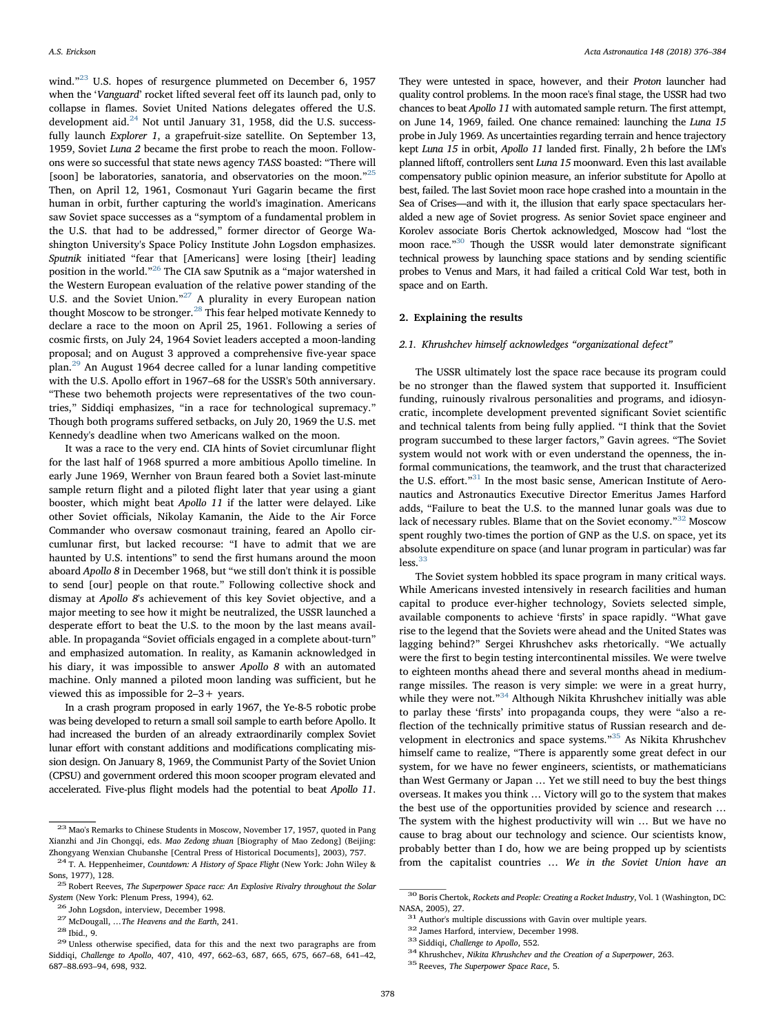wind."<sup>[23](#page-2-0)</sup> U.S. hopes of resurgence plummeted on December 6, 1957 when the 'Vanguard' rocket lifted several feet off its launch pad, only to collapse in flames. Soviet United Nations delegates offered the U.S. development aid.<sup>[24](#page-2-1)</sup> Not until January 31, 1958, did the U.S. successfully launch Explorer 1, a grapefruit-size satellite. On September 13, 1959, Soviet Luna 2 became the first probe to reach the moon. Followons were so successful that state news agency TASS boasted: "There will [soon] be laboratories, sanatoria, and observatories on the moon."<sup>[25](#page-2-2)</sup> Then, on April 12, 1961, Cosmonaut Yuri Gagarin became the first human in orbit, further capturing the world's imagination. Americans saw Soviet space successes as a "symptom of a fundamental problem in the U.S. that had to be addressed," former director of George Washington University's Space Policy Institute John Logsdon emphasizes. Sputnik initiated "fear that [Americans] were losing [their] leading position in the world."[26](#page-2-3) The CIA saw Sputnik as a "major watershed in the Western European evaluation of the relative power standing of the U.S. and the Soviet Union."<sup>[27](#page-2-4)</sup> A plurality in every European nation thought Moscow to be stronger.[28](#page-2-5) This fear helped motivate Kennedy to declare a race to the moon on April 25, 1961. Following a series of cosmic firsts, on July 24, 1964 Soviet leaders accepted a moon-landing proposal; and on August 3 approved a comprehensive five-year space plan.[29](#page-2-6) An August 1964 decree called for a lunar landing competitive with the U.S. Apollo effort in 1967–68 for the USSR's 50th anniversary. "These two behemoth projects were representatives of the two countries," Siddiqi emphasizes, "in a race for technological supremacy." Though both programs suffered setbacks, on July 20, 1969 the U.S. met Kennedy's deadline when two Americans walked on the moon.

It was a race to the very end. CIA hints of Soviet circumlunar flight for the last half of 1968 spurred a more ambitious Apollo timeline. In early June 1969, Wernher von Braun feared both a Soviet last-minute sample return flight and a piloted flight later that year using a giant booster, which might beat Apollo 11 if the latter were delayed. Like other Soviet officials, Nikolay Kamanin, the Aide to the Air Force Commander who oversaw cosmonaut training, feared an Apollo circumlunar first, but lacked recourse: "I have to admit that we are haunted by U.S. intentions" to send the first humans around the moon aboard Apollo 8 in December 1968, but "we still don't think it is possible to send [our] people on that route." Following collective shock and dismay at Apollo 8's achievement of this key Soviet objective, and a major meeting to see how it might be neutralized, the USSR launched a desperate effort to beat the U.S. to the moon by the last means available. In propaganda "Soviet officials engaged in a complete about-turn" and emphasized automation. In reality, as Kamanin acknowledged in his diary, it was impossible to answer Apollo 8 with an automated machine. Only manned a piloted moon landing was sufficient, but he viewed this as impossible for 2–3+ years.

In a crash program proposed in early 1967, the Ye-8-5 robotic probe was being developed to return a small soil sample to earth before Apollo. It had increased the burden of an already extraordinarily complex Soviet lunar effort with constant additions and modifications complicating mission design. On January 8, 1969, the Communist Party of the Soviet Union (CPSU) and government ordered this moon scooper program elevated and accelerated. Five-plus flight models had the potential to beat Apollo 11.

They were untested in space, however, and their Proton launcher had quality control problems. In the moon race's final stage, the USSR had two chances to beat Apollo 11 with automated sample return. The first attempt, on June 14, 1969, failed. One chance remained: launching the Luna 15 probe in July 1969. As uncertainties regarding terrain and hence trajectory kept Luna 15 in orbit, Apollo 11 landed first. Finally, 2 h before the LM's planned liftoff, controllers sent Luna 15 moonward. Even this last available compensatory public opinion measure, an inferior substitute for Apollo at best, failed. The last Soviet moon race hope crashed into a mountain in the Sea of Crises—and with it, the illusion that early space spectaculars heralded a new age of Soviet progress. As senior Soviet space engineer and Korolev associate Boris Chertok acknowledged, Moscow had "lost the moon race."<sup>[30](#page-2-7)</sup> Though the USSR would later demonstrate significant technical prowess by launching space stations and by sending scientific probes to Venus and Mars, it had failed a critical Cold War test, both in space and on Earth.

## 2. Explaining the results

#### 2.1. Khrushchev himself acknowledges "organizational defect"

The USSR ultimately lost the space race because its program could be no stronger than the flawed system that supported it. Insufficient funding, ruinously rivalrous personalities and programs, and idiosyncratic, incomplete development prevented significant Soviet scientific and technical talents from being fully applied. "I think that the Soviet program succumbed to these larger factors," Gavin agrees. "The Soviet system would not work with or even understand the openness, the informal communications, the teamwork, and the trust that characterized the U.S. effort."<sup>[31](#page-2-8)</sup> In the most basic sense, American Institute of Aeronautics and Astronautics Executive Director Emeritus James Harford adds, "Failure to beat the U.S. to the manned lunar goals was due to lack of necessary rubles. Blame that on the Soviet economy."<sup>[32](#page-2-9)</sup> Moscow spent roughly two-times the portion of GNP as the U.S. on space, yet its absolute expenditure on space (and lunar program in particular) was far  $less<sup>33</sup>$  $less<sup>33</sup>$  $less<sup>33</sup>$ 

The Soviet system hobbled its space program in many critical ways. While Americans invested intensively in research facilities and human capital to produce ever-higher technology, Soviets selected simple, available components to achieve 'firsts' in space rapidly. "What gave rise to the legend that the Soviets were ahead and the United States was lagging behind?" Sergei Khrushchev asks rhetorically. "We actually were the first to begin testing intercontinental missiles. We were twelve to eighteen months ahead there and several months ahead in mediumrange missiles. The reason is very simple: we were in a great hurry, while they were not."<sup>[34](#page-2-11)</sup> Although Nikita Khrushchev initially was able to parlay these 'firsts' into propaganda coups, they were "also a reflection of the technically primitive status of Russian research and development in electronics and space systems."[35](#page-2-12) As Nikita Khrushchev himself came to realize, "There is apparently some great defect in our system, for we have no fewer engineers, scientists, or mathematicians than West Germany or Japan … Yet we still need to buy the best things overseas. It makes you think … Victory will go to the system that makes the best use of the opportunities provided by science and research … The system with the highest productivity will win … But we have no cause to brag about our technology and science. Our scientists know, probably better than I do, how we are being propped up by scientists from the capitalist countries … We in the Soviet Union have an

<span id="page-2-0"></span><sup>23</sup> Mao's Remarks to Chinese Students in Moscow, November 17, 1957, quoted in Pang Xianzhi and Jin Chongqi, eds. Mao Zedong zhuan [Biography of Mao Zedong] (Beijing: Zhongyang Wenxian Chubanshe [Central Press of Historical Documents], 2003), 757. <sup>24</sup> T. A. Heppenheimer, Countdown: A History of Space Flight (New York: John Wiley &

<span id="page-2-1"></span>Sons, 1977), 128.<br><sup>25</sup> Robert Reeves, *The Superpower Space race: An Explosive Rivalry throughout the Solar* 

<span id="page-2-2"></span>System (New York: Plenum Press, 1994), 62.<br><sup>26</sup> John Logsdon, interview, December 1998.<br><sup>27</sup> McDougall, ...*The Heavens and the Earth*, 241.<br><sup>28</sup> Ibid., 9.<br><sup>29</sup> Unless otherwise specified, data for this and the next two pa

<span id="page-2-4"></span><span id="page-2-3"></span>

<span id="page-2-5"></span>

<span id="page-2-6"></span>

Siddiqi, Challenge to Apollo, 407, 410, 497, 662–63, 687, 665, 675, 667–68, 641–42, 687–88.693–94, 698, 932.

<span id="page-2-7"></span> $^{\rm 30}$  Boris Chertok, Rockets and People: Creating a Rocket Industry, Vol. 1 (Washington, DC: NASA, 2005), 27.<br><sup>31</sup> Author's multiple discussions with Gavin over multiple years.<br><sup>32</sup> James Harford, interview, December 1998.<br><sup>33</sup> Siddiqi, *Challenge to Apollo*, 552.<br><sup>34</sup> Khrushchev, *Nikita Khrushchev and the Creat* 

<span id="page-2-9"></span><span id="page-2-8"></span>

<span id="page-2-10"></span>

<span id="page-2-11"></span>

<span id="page-2-12"></span>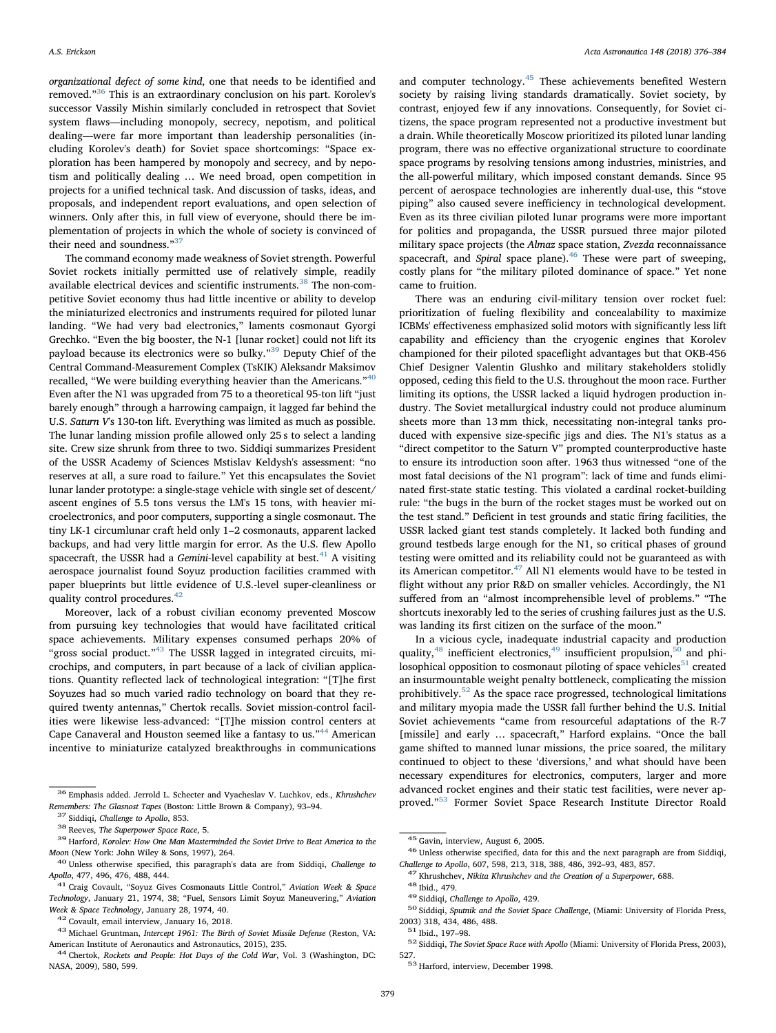organizational defect of some kind, one that needs to be identified and removed."[36](#page-3-0) This is an extraordinary conclusion on his part. Korolev's successor Vassily Mishin similarly concluded in retrospect that Soviet system flaws—including monopoly, secrecy, nepotism, and political dealing—were far more important than leadership personalities (including Korolev's death) for Soviet space shortcomings: "Space exploration has been hampered by monopoly and secrecy, and by nepotism and politically dealing … We need broad, open competition in projects for a unified technical task. And discussion of tasks, ideas, and proposals, and independent report evaluations, and open selection of winners. Only after this, in full view of everyone, should there be implementation of projects in which the whole of society is convinced of their need and soundness."<sup>[37](#page-3-1)</sup>

The command economy made weakness of Soviet strength. Powerful Soviet rockets initially permitted use of relatively simple, readily available electrical devices and scientific instruments.<sup>[38](#page-3-2)</sup> The non-competitive Soviet economy thus had little incentive or ability to develop the miniaturized electronics and instruments required for piloted lunar landing. "We had very bad electronics," laments cosmonaut Gyorgi Grechko. "Even the big booster, the N-1 [lunar rocket] could not lift its payload because its electronics were so bulky."<sup>[39](#page-3-3)</sup> Deputy Chief of the Central Command-Measurement Complex (TsKIK) Aleksandr Maksimov recalled, "We were building everything heavier than the Americans."<sup>[40](#page-3-4)</sup> Even after the N1 was upgraded from 75 to a theoretical 95-ton lift "just barely enough" through a harrowing campaign, it lagged far behind the U.S. Saturn V's 130-ton lift. Everything was limited as much as possible. The lunar landing mission profile allowed only 25 s to select a landing site. Crew size shrunk from three to two. Siddiqi summarizes President of the USSR Academy of Sciences Mstislav Keldysh's assessment: "no reserves at all, a sure road to failure." Yet this encapsulates the Soviet lunar lander prototype: a single-stage vehicle with single set of descent/ ascent engines of 5.5 tons versus the LM's 15 tons, with heavier microelectronics, and poor computers, supporting a single cosmonaut. The tiny LK-1 circumlunar craft held only 1–2 cosmonauts, apparent lacked backups, and had very little margin for error. As the U.S. flew Apollo spacecraft, the USSR had a Gemini-level capability at best. $41$  A visiting aerospace journalist found Soyuz production facilities crammed with paper blueprints but little evidence of U.S.-level super-cleanliness or quality control procedures.<sup>[42](#page-3-6)</sup>

Moreover, lack of a robust civilian economy prevented Moscow from pursuing key technologies that would have facilitated critical space achievements. Military expenses consumed perhaps 20% of "gross social product."<sup>[43](#page-3-7)</sup> The USSR lagged in integrated circuits, microchips, and computers, in part because of a lack of civilian applications. Quantity reflected lack of technological integration: "[T]he first Soyuzes had so much varied radio technology on board that they required twenty antennas," Chertok recalls. Soviet mission-control facilities were likewise less-advanced: "[T]he mission control centers at Cape Canaveral and Houston seemed like a fantasy to us."<sup>[44](#page-3-8)</sup> American incentive to miniaturize catalyzed breakthroughs in communications and computer technology.<sup>[45](#page-3-9)</sup> These achievements benefited Western society by raising living standards dramatically. Soviet society, by contrast, enjoyed few if any innovations. Consequently, for Soviet citizens, the space program represented not a productive investment but a drain. While theoretically Moscow prioritized its piloted lunar landing program, there was no effective organizational structure to coordinate space programs by resolving tensions among industries, ministries, and the all-powerful military, which imposed constant demands. Since 95 percent of aerospace technologies are inherently dual-use, this "stove piping" also caused severe inefficiency in technological development. Even as its three civilian piloted lunar programs were more important for politics and propaganda, the USSR pursued three major piloted military space projects (the Almaz space station, Zvezda reconnaissance spacecraft, and *Spiral* space plane).<sup>[46](#page-3-10)</sup> These were part of sweeping, costly plans for "the military piloted dominance of space." Yet none came to fruition.

There was an enduring civil-military tension over rocket fuel: prioritization of fueling flexibility and concealability to maximize ICBMs' effectiveness emphasized solid motors with significantly less lift capability and efficiency than the cryogenic engines that Korolev championed for their piloted spaceflight advantages but that OKB-456 Chief Designer Valentin Glushko and military stakeholders stolidly opposed, ceding this field to the U.S. throughout the moon race. Further limiting its options, the USSR lacked a liquid hydrogen production industry. The Soviet metallurgical industry could not produce aluminum sheets more than 13 mm thick, necessitating non-integral tanks produced with expensive size-specific jigs and dies. The N1's status as a "direct competitor to the Saturn V" prompted counterproductive haste to ensure its introduction soon after. 1963 thus witnessed "one of the most fatal decisions of the N1 program": lack of time and funds eliminated first-state static testing. This violated a cardinal rocket-building rule: "the bugs in the burn of the rocket stages must be worked out on the test stand." Deficient in test grounds and static firing facilities, the USSR lacked giant test stands completely. It lacked both funding and ground testbeds large enough for the N1, so critical phases of ground testing were omitted and its reliability could not be guaranteed as with its American competitor.<sup>[47](#page-3-11)</sup> All N1 elements would have to be tested in flight without any prior R&D on smaller vehicles. Accordingly, the N1 suffered from an "almost incomprehensible level of problems." "The shortcuts inexorably led to the series of crushing failures just as the U.S. was landing its first citizen on the surface of the moon."

In a vicious cycle, inadequate industrial capacity and production quality, $48$  inefficient electronics, $49$  insufficient propulsion, $50$  and philosophical opposition to cosmonaut piloting of space vehicles  $\mathbf{^{51}}$  $\mathbf{^{51}}$  $\mathbf{^{51}}$  created an insurmountable weight penalty bottleneck, complicating the mission prohibitively.[52](#page-3-16) As the space race progressed, technological limitations and military myopia made the USSR fall further behind the U.S. Initial Soviet achievements "came from resourceful adaptations of the R-7 [missile] and early ... spacecraft," Harford explains. "Once the ball game shifted to manned lunar missions, the price soared, the military continued to object to these 'diversions,' and what should have been necessary expenditures for electronics, computers, larger and more advanced rocket engines and their static test facilities, were never approved."[53](#page-3-17) Former Soviet Space Research Institute Director Roald

<span id="page-3-0"></span> $^{36}$  Emphasis added. Jerrold L. Schecter and Vyacheslav V. Luchkov, eds., Khrushchev Remembers: The Glasnost Tapes (Boston: Little Brown & Company), 93–94.

<span id="page-3-3"></span>

<span id="page-3-2"></span><span id="page-3-1"></span> $^{37}$  Siddiqi, Challenge to Apollo, 853.<br> $^{38}$  Reeves, The Superpower Space Race, 5.<br> $^{38}$  Harford, Korolev: How One Man Masterminded the Soviet Drive to Beat America to the

<span id="page-3-4"></span>Moon (New York: John Wiley & Sons, 1997), 264.<br><sup>40</sup> Unless otherwise specified, this paragraph's data are from Siddiqi, *Challenge to Apollo*, 477, 496, 476, 488, 444.

<span id="page-3-5"></span> $^{41}$  Craig Covault, "Soyuz Gives Cosmonauts Little Control," Aviation Week & Space Technology, January 21, 1974, 38; "Fuel, Sensors Limit Soyuz Maneuvering," Aviation

<span id="page-3-7"></span>

<span id="page-3-6"></span> $^{42}$  Covault, email interview, January 16, 2018.  $^{43}$  Michael Gruntman, *Intercept 1961: The Birth of Soviet Missile Defense* (Reston, VA: American Institute of Aeronautics and Astronautics, 2015), 235. <sup>44</sup> Chertok, Rockets and People: Hot Days of the Cold War, Vol. 3 (Washington, DC:

<span id="page-3-8"></span>NASA, 2009), 580, 599.

<span id="page-3-10"></span><span id="page-3-9"></span> $^{45}$  Gavin, interview, August 6, 2005.<br> $^{46}$  Unless otherwise specified, data for this and the next paragraph are from Siddiqi, Challenge to Apollo, 607, 598, 213, 318, 388, 486, 392–93, 483, 857.

<span id="page-3-14"></span><span id="page-3-13"></span>

<span id="page-3-12"></span><span id="page-3-11"></span> $^{47}$ Khrushchev, Nikita Khrushchev and the Creation of a Superpower, 688.<br> $^{48}$ Ibid., 479.<br> $^{48}$ Siddiqi, Challenge to Apollo, 429.<br> $^{49}$ Siddiqi, Challenge to Apollo, 429.<br> $^{50}$ Siddiqi, Sputnik and the Soviet Space Ch

<span id="page-3-16"></span>

<span id="page-3-15"></span><sup>2003) 318, 434, 486, 488.&</sup>lt;br><sup>51</sup> Ibid., 197–98.<br><sup>52</sup> Siddiqi, *The Soviet Space Race with Apollo* (Miami: University of Florida Press, 2003), 527. <sup>53</sup> Harford, interview, December 1998.

<span id="page-3-17"></span>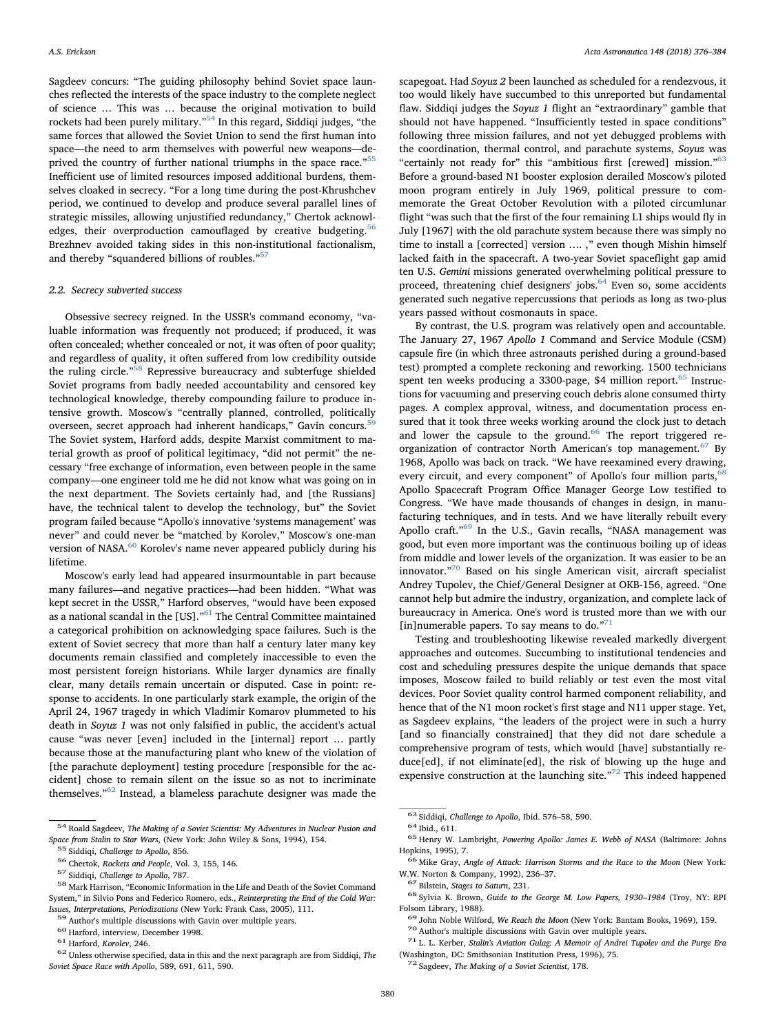Sagdeev concurs: "The guiding philosophy behind Soviet space launches reflected the interests of the space industry to the complete neglect of science … This was … because the original motivation to build rockets had been purely military."[54](#page-4-0) In this regard, Siddiqi judges, "the same forces that allowed the Soviet Union to send the first human into space—the need to arm themselves with powerful new weapons—deprived the country of further national triumphs in the space race."[55](#page-4-1) Inefficient use of limited resources imposed additional burdens, themselves cloaked in secrecy. "For a long time during the post-Khrushchev period, we continued to develop and produce several parallel lines of strategic missiles, allowing unjustified redundancy," Chertok acknowl-edges, their overproduction camouflaged by creative budgeting.<sup>[56](#page-4-2)</sup> Brezhnev avoided taking sides in this non-institutional factionalism, and thereby "squandered billions of roubles."[57](#page-4-3)

## 2.2. Secrecy subverted success

Obsessive secrecy reigned. In the USSR's command economy, "valuable information was frequently not produced; if produced, it was often concealed; whether concealed or not, it was often of poor quality; and regardless of quality, it often suffered from low credibility outside the ruling circle."<sup>[58](#page-4-4)</sup> Repressive bureaucracy and subterfuge shielded Soviet programs from badly needed accountability and censored key technological knowledge, thereby compounding failure to produce intensive growth. Moscow's "centrally planned, controlled, politically overseen, secret approach had inherent handicaps," Gavin concurs.<sup>[59](#page-4-5)</sup> The Soviet system, Harford adds, despite Marxist commitment to material growth as proof of political legitimacy, "did not permit" the necessary "free exchange of information, even between people in the same company—one engineer told me he did not know what was going on in the next department. The Soviets certainly had, and [the Russians] have, the technical talent to develop the technology, but" the Soviet program failed because "Apollo's innovative 'systems management' was never" and could never be "matched by Korolev," Moscow's one-man version of NASA.<sup>[60](#page-4-6)</sup> Korolev's name never appeared publicly during his lifetime.

Moscow's early lead had appeared insurmountable in part because many failures—and negative practices—had been hidden. "What was kept secret in the USSR," Harford observes, "would have been exposed as a national scandal in the [US]."[61](#page-4-7) The Central Committee maintained a categorical prohibition on acknowledging space failures. Such is the extent of Soviet secrecy that more than half a century later many key documents remain classified and completely inaccessible to even the most persistent foreign historians. While larger dynamics are finally clear, many details remain uncertain or disputed. Case in point: response to accidents. In one particularly stark example, the origin of the April 24, 1967 tragedy in which Vladimir Komarov plummeted to his death in Soyuz 1 was not only falsified in public, the accident's actual cause "was never [even] included in the [internal] report … partly because those at the manufacturing plant who knew of the violation of [the parachute deployment] testing procedure [responsible for the accident] chose to remain silent on the issue so as not to incriminate themselves."[62](#page-4-8) Instead, a blameless parachute designer was made the

scapegoat. Had Soyuz 2 been launched as scheduled for a rendezvous, it too would likely have succumbed to this unreported but fundamental flaw. Siddiqi judges the Soyuz 1 flight an "extraordinary" gamble that should not have happened. "Insufficiently tested in space conditions" following three mission failures, and not yet debugged problems with the coordination, thermal control, and parachute systems, Soyuz was "certainly not ready for" this "ambitious first [crewed] mission."[63](#page-4-9) Before a ground-based N1 booster explosion derailed Moscow's piloted moon program entirely in July 1969, political pressure to commemorate the Great October Revolution with a piloted circumlunar flight "was such that the first of the four remaining L1 ships would fly in July [1967] with the old parachute system because there was simply no time to install a [corrected] version .... ," even though Mishin himself lacked faith in the spacecraft. A two-year Soviet spaceflight gap amid ten U.S. Gemini missions generated overwhelming political pressure to proceed, threatening chief designers' jobs.<sup>[64](#page-4-10)</sup> Even so, some accidents generated such negative repercussions that periods as long as two-plus years passed without cosmonauts in space.

By contrast, the U.S. program was relatively open and accountable. The January 27, 1967 Apollo 1 Command and Service Module (CSM) capsule fire (in which three astronauts perished during a ground-based test) prompted a complete reckoning and reworking. 1500 technicians spent ten weeks producing a 3300-page, \$4 million report.<sup>[65](#page-4-11)</sup> Instructions for vacuuming and preserving couch debris alone consumed thirty pages. A complex approval, witness, and documentation process ensured that it took three weeks working around the clock just to detach and lower the capsule to the ground. $66$  The report triggered re-organization of contractor North American's top management.<sup>[67](#page-4-13)</sup> By 1968, Apollo was back on track. "We have reexamined every drawing, every circuit, and every component" of Apollo's four million parts, Apollo Spacecraft Program Office Manager George Low testified to Congress. "We have made thousands of changes in design, in manufacturing techniques, and in tests. And we have literally rebuilt every Apollo craft."<sup>[69](#page-4-15)</sup> In the U.S., Gavin recalls, "NASA management was good, but even more important was the continuous boiling up of ideas from middle and lower levels of the organization. It was easier to be an innovator."[70](#page-4-16) Based on his single American visit, aircraft specialist Andrey Tupolev, the Chief/General Designer at OKB-156, agreed. "One cannot help but admire the industry, organization, and complete lack of bureaucracy in America. One's word is trusted more than we with our [in]numerable papers. To say means to do." $71$ 

Testing and troubleshooting likewise revealed markedly divergent approaches and outcomes. Succumbing to institutional tendencies and cost and scheduling pressures despite the unique demands that space imposes, Moscow failed to build reliably or test even the most vital devices. Poor Soviet quality control harmed component reliability, and hence that of the N1 moon rocket's first stage and N11 upper stage. Yet, as Sagdeev explains, "the leaders of the project were in such a hurry [and so financially constrained] that they did not dare schedule a comprehensive program of tests, which would [have] substantially reduce[ed], if not eliminate[ed], the risk of blowing up the huge and expensive construction at the launching site."<sup>[72](#page-4-18)</sup> This indeed happened

<span id="page-4-0"></span> $^{\rm 54}$  Roald Sagdeev, The Making of a Soviet Scientist: My Adventures in Nuclear Fusion and % Space from Stalin to Star Wars, (New York: John Wiley & Sons, 1994), 154.<br>  $^{55}$  Siddiqi, Challenge to Apollo, 856.<br>  $^{56}$  Chertok, Rockets and People, Vol. 3, 155, 146.<br>  $^{57}$  Siddiqi, Challenge to Apollo, 787.<br>  $^{5$ 

<span id="page-4-2"></span><span id="page-4-1"></span>

<span id="page-4-3"></span>

<span id="page-4-4"></span>System," in Silvio Pons and Federico Romero, eds., Reinterpreting the End of the Cold War: Issues, Interpretations, Periodizations (New York: Frank Cass, 2005), 111.

<span id="page-4-5"></span>

<span id="page-4-6"></span>

<span id="page-4-8"></span><span id="page-4-7"></span>

<span id="page-4-10"></span>

<span id="page-4-11"></span>

<span id="page-4-9"></span><sup>&</sup>lt;sup>63</sup> Siddiqi, *Challenge to Apollo*, Ibid. 576–58, 590.<br><sup>64</sup> Ibid., 611.<br><sup>65</sup> Henry W. Lambright, *Powering Apollo: James E. Webb of NASA* (Baltimore: Johns<br>Hopkins, 1995), 7.

<span id="page-4-12"></span><sup>&</sup>lt;sup>66</sup> Mike Gray, Angle of Attack: Harrison Storms and the Race to the Moon (New York: W.W. Norton & Company, 1992), 236–37.<br> $^{67}$  Bilstein, *Stages to Saturn*, 231.<br> $^{68}$  Sylvia K. Brown, *Guide to the George M. Low Papers, 1930–1984* (Troy, NY: RPI

<span id="page-4-13"></span>

<span id="page-4-14"></span>Folsom Library, 1988).<br>
<sup>69</sup> John Noble Wilford, *We Reach the Moon* (New York: Bantam Books, 1969), 159.<br>
<sup>70</sup> Author's multiple discussions with Gavin over multiple years.<br>
<sup>71</sup> L. L. Kerber, *Stalin's Aviation Gulag: A* 

<span id="page-4-16"></span><span id="page-4-15"></span>

<span id="page-4-17"></span><sup>(</sup>Washington, DC: Smithsonian Institution Press, 1996), 75. <sup>72</sup> Sagdeev, The Making of a Soviet Scientist, 178.

<span id="page-4-18"></span>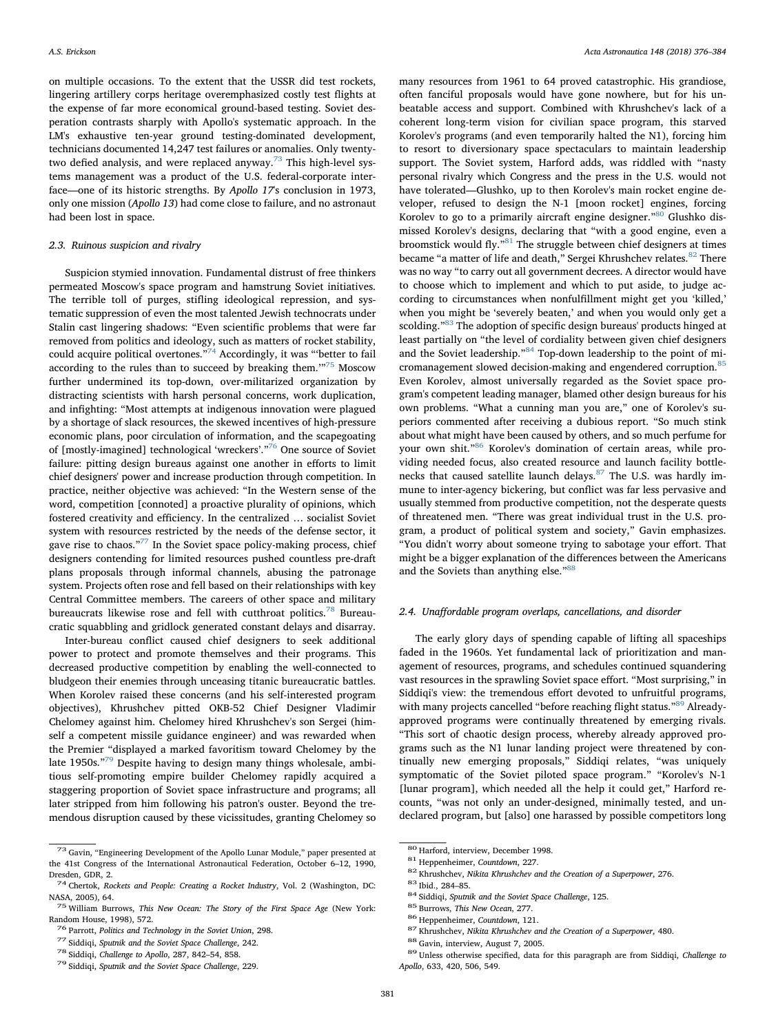on multiple occasions. To the extent that the USSR did test rockets, lingering artillery corps heritage overemphasized costly test flights at the expense of far more economical ground-based testing. Soviet desperation contrasts sharply with Apollo's systematic approach. In the LM's exhaustive ten-year ground testing-dominated development, technicians documented 14,247 test failures or anomalies. Only twenty-two defied analysis, and were replaced anyway.<sup>[73](#page-5-0)</sup> This high-level systems management was a product of the U.S. federal-corporate interface—one of its historic strengths. By Apollo 17's conclusion in 1973, only one mission (Apollo 13) had come close to failure, and no astronaut had been lost in space.

#### 2.3. Ruinous suspicion and rivalry

Suspicion stymied innovation. Fundamental distrust of free thinkers permeated Moscow's space program and hamstrung Soviet initiatives. The terrible toll of purges, stifling ideological repression, and systematic suppression of even the most talented Jewish technocrats under Stalin cast lingering shadows: "Even scientific problems that were far removed from politics and ideology, such as matters of rocket stability, could acquire political overtones. $^{74}$  $^{74}$  $^{74}$  Accordingly, it was "better to fail according to the rules than to succeed by breaking them.'"[75](#page-5-2) Moscow further undermined its top-down, over-militarized organization by distracting scientists with harsh personal concerns, work duplication, and infighting: "Most attempts at indigenous innovation were plagued by a shortage of slack resources, the skewed incentives of high-pressure economic plans, poor circulation of information, and the scapegoating of [mostly-imagined] technological 'wreckers'."[76](#page-5-3) One source of Soviet failure: pitting design bureaus against one another in efforts to limit chief designers' power and increase production through competition. In practice, neither objective was achieved: "In the Western sense of the word, competition [connoted] a proactive plurality of opinions, which fostered creativity and efficiency. In the centralized … socialist Soviet system with resources restricted by the needs of the defense sector, it gave rise to chaos."<sup>[77](#page-5-4)</sup> In the Soviet space policy-making process, chief designers contending for limited resources pushed countless pre-draft plans proposals through informal channels, abusing the patronage system. Projects often rose and fell based on their relationships with key Central Committee members. The careers of other space and military bureaucrats likewise rose and fell with cutthroat politics.<sup>[78](#page-5-5)</sup> Bureaucratic squabbling and gridlock generated constant delays and disarray.

Inter-bureau conflict caused chief designers to seek additional power to protect and promote themselves and their programs. This decreased productive competition by enabling the well-connected to bludgeon their enemies through unceasing titanic bureaucratic battles. When Korolev raised these concerns (and his self-interested program objectives), Khrushchev pitted OKB-52 Chief Designer Vladimir Chelomey against him. Chelomey hired Khrushchev's son Sergei (himself a competent missile guidance engineer) and was rewarded when the Premier "displayed a marked favoritism toward Chelomey by the late 1950s."<sup>[79](#page-5-6)</sup> Despite having to design many things wholesale, ambitious self-promoting empire builder Chelomey rapidly acquired a staggering proportion of Soviet space infrastructure and programs; all later stripped from him following his patron's ouster. Beyond the tremendous disruption caused by these vicissitudes, granting Chelomey so

many resources from 1961 to 64 proved catastrophic. His grandiose, often fanciful proposals would have gone nowhere, but for his unbeatable access and support. Combined with Khrushchev's lack of a coherent long-term vision for civilian space program, this starved Korolev's programs (and even temporarily halted the N1), forcing him to resort to diversionary space spectaculars to maintain leadership support. The Soviet system, Harford adds, was riddled with "nasty personal rivalry which Congress and the press in the U.S. would not have tolerated—Glushko, up to then Korolev's main rocket engine developer, refused to design the N-1 [moon rocket] engines, forcing Korolev to go to a primarily aircraft engine designer.<sup>"[80](#page-5-7)</sup> Glushko dismissed Korolev's designs, declaring that "with a good engine, even a broomstick would fly.<sup> $n^{81}$  $n^{81}$  $n^{81}$ </sup> The struggle between chief designers at times became "a matter of life and death," Sergei Khrushchev relates.<sup>[82](#page-5-9)</sup> There was no way "to carry out all government decrees. A director would have to choose which to implement and which to put aside, to judge according to circumstances when nonfulfillment might get you 'killed,' when you might be 'severely beaten,' and when you would only get a scolding."<sup>[83](#page-5-10)</sup> The adoption of specific design bureaus' products hinged at least partially on "the level of cordiality between given chief designers and the Soviet leadership."<sup>[84](#page-5-11)</sup> Top-down leadership to the point of mi-cromanagement slowed decision-making and engendered corruption.<sup>[85](#page-5-12)</sup> Even Korolev, almost universally regarded as the Soviet space program's competent leading manager, blamed other design bureaus for his own problems. "What a cunning man you are," one of Korolev's superiors commented after receiving a dubious report. "So much stink about what might have been caused by others, and so much perfume for your own shit."[86](#page-5-13) Korolev's domination of certain areas, while providing needed focus, also created resource and launch facility bottle-necks that caused satellite launch delays.<sup>[87](#page-5-14)</sup> The U.S. was hardly immune to inter-agency bickering, but conflict was far less pervasive and usually stemmed from productive competition, not the desperate quests of threatened men. "There was great individual trust in the U.S. program, a product of political system and society," Gavin emphasizes. "You didn't worry about someone trying to sabotage your effort. That might be a bigger explanation of the differences between the Americans and the Soviets than anything else."[88](#page-5-15)

## 2.4. Unaffordable program overlaps, cancellations, and disorder

The early glory days of spending capable of lifting all spaceships faded in the 1960s. Yet fundamental lack of prioritization and management of resources, programs, and schedules continued squandering vast resources in the sprawling Soviet space effort. "Most surprising," in Siddiqi's view: the tremendous effort devoted to unfruitful programs, with many projects cancelled "before reaching flight status."<sup>[89](#page-5-16)</sup> Alreadyapproved programs were continually threatened by emerging rivals. "This sort of chaotic design process, whereby already approved programs such as the N1 lunar landing project were threatened by continually new emerging proposals," Siddiqi relates, "was uniquely symptomatic of the Soviet piloted space program." "Korolev's N-1 [lunar program], which needed all the help it could get," Harford recounts, "was not only an under-designed, minimally tested, and undeclared program, but [also] one harassed by possible competitors long

<span id="page-5-0"></span> $^{73}$  Gavin, "Engineering Development of the Apollo Lunar Module," paper presented at the 41st Congress of the International Astronautical Federation, October 6–12, 1990,

<span id="page-5-1"></span>Dresden, GDR, 2. <sup>74</sup> Chertok, Rockets and People: Creating a Rocket Industry, Vol. 2 (Washington, DC: NASA, 2005), 64.<br><sup>75</sup> William Burrows, *This New Ocean: The Story of the First Space Age* (New York:

<span id="page-5-2"></span>Random House, 1998), 572.<br><sup>76</sup> Parrott, *Politics and Technology in the Soviet Union*, 298.<br><sup>77</sup> Siddiqi, *Sputnik and the Soviet Space Challenge*, 242.<br><sup>78</sup> Siddiqi, *Challenge to Apollo*, 287, 842–54, 858.<br><sup>79</sup> Siddiqi,

<span id="page-5-4"></span><span id="page-5-3"></span>

<span id="page-5-5"></span>

<span id="page-5-6"></span>

<span id="page-5-10"></span><span id="page-5-9"></span>

<span id="page-5-12"></span><span id="page-5-11"></span>

<span id="page-5-13"></span>

<span id="page-5-14"></span>

<span id="page-5-16"></span><span id="page-5-15"></span>

<span id="page-5-8"></span><span id="page-5-7"></span><sup>&</sup>lt;sup>80</sup> Harford, interview, December 1998.<br>
<sup>81</sup> Heppenheimer, *Countdown*, 227.<br>
<sup>82</sup> Khrushchev, *Nikita Khrushchev and the Creation of a Superpower*, 276.<br>
<sup>83</sup> Ibid., 284–85.<br>
<sup>83</sup> Butrows, *This New Ocean*, 277.<br>
<sup>85</sup> B Apollo, 633, 420, 506, 549.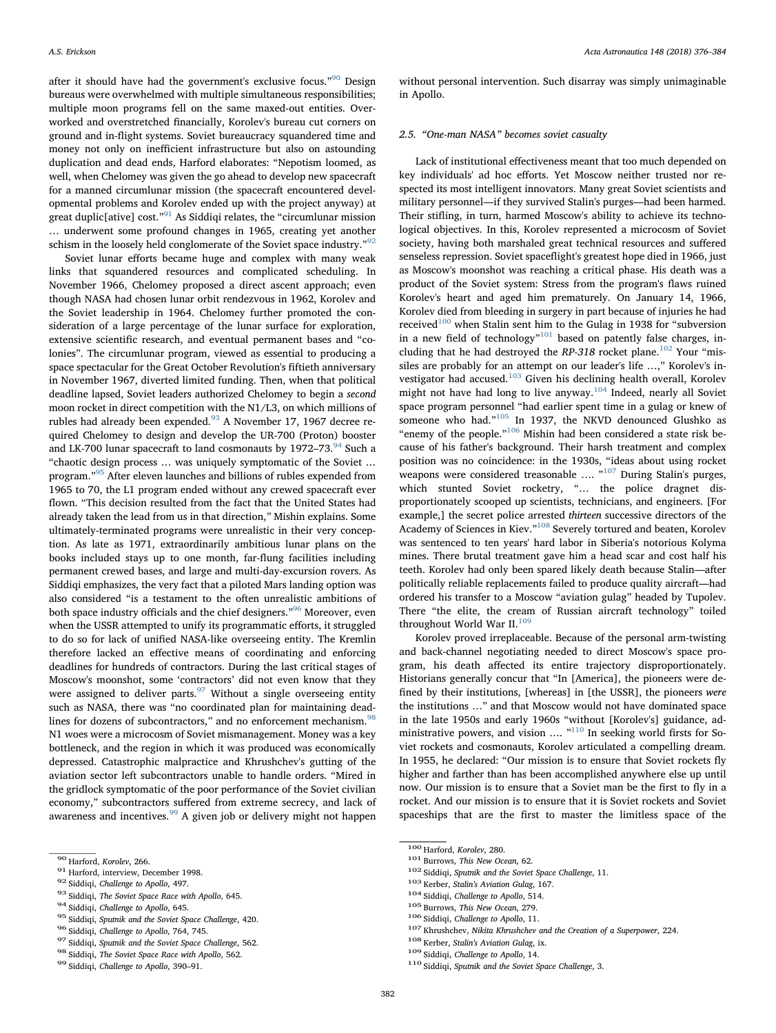after it should have had the government's exclusive focus."<sup>[90](#page-6-0)</sup> Design bureaus were overwhelmed with multiple simultaneous responsibilities; multiple moon programs fell on the same maxed-out entities. Overworked and overstretched financially, Korolev's bureau cut corners on ground and in-flight systems. Soviet bureaucracy squandered time and money not only on inefficient infrastructure but also on astounding duplication and dead ends, Harford elaborates: "Nepotism loomed, as well, when Chelomey was given the go ahead to develop new spacecraft for a manned circumlunar mission (the spacecraft encountered developmental problems and Korolev ended up with the project anyway) at great duplic ative  $\cosh$ <sup>[91](#page-6-1)</sup> As Siddiqi relates, the "circum lunar mission" … underwent some profound changes in 1965, creating yet another schism in the loosely held conglomerate of the Soviet space industry."<sup>[92](#page-6-2)</sup>

Soviet lunar efforts became huge and complex with many weak links that squandered resources and complicated scheduling. In November 1966, Chelomey proposed a direct ascent approach; even though NASA had chosen lunar orbit rendezvous in 1962, Korolev and the Soviet leadership in 1964. Chelomey further promoted the consideration of a large percentage of the lunar surface for exploration, extensive scientific research, and eventual permanent bases and "colonies". The circumlunar program, viewed as essential to producing a space spectacular for the Great October Revolution's fiftieth anniversary in November 1967, diverted limited funding. Then, when that political deadline lapsed, Soviet leaders authorized Chelomey to begin a second moon rocket in direct competition with the N1/L3, on which millions of rubles had already been expended.<sup>[93](#page-6-3)</sup> A November 17, 1967 decree required Chelomey to design and develop the UR-700 (Proton) booster and LK-700 lunar spacecraft to land cosmonauts by 1972-73.<sup>[94](#page-6-4)</sup> Such a "chaotic design process … was uniquely symptomatic of the Soviet … program."<sup>[95](#page-6-5)</sup> After eleven launches and billions of rubles expended from 1965 to 70, the L1 program ended without any crewed spacecraft ever flown. "This decision resulted from the fact that the United States had already taken the lead from us in that direction," Mishin explains. Some ultimately-terminated programs were unrealistic in their very conception. As late as 1971, extraordinarily ambitious lunar plans on the books included stays up to one month, far-flung facilities including permanent crewed bases, and large and multi-day-excursion rovers. As Siddiqi emphasizes, the very fact that a piloted Mars landing option was also considered "is a testament to the often unrealistic ambitions of both space industry officials and the chief designers."[96](#page-6-6) Moreover, even when the USSR attempted to unify its programmatic efforts, it struggled to do so for lack of unified NASA-like overseeing entity. The Kremlin therefore lacked an effective means of coordinating and enforcing deadlines for hundreds of contractors. During the last critical stages of Moscow's moonshot, some 'contractors' did not even know that they were assigned to deliver parts. $97$  Without a single overseeing entity such as NASA, there was "no coordinated plan for maintaining dead-lines for dozens of subcontractors," and no enforcement mechanism.<sup>[98](#page-6-8)</sup> N1 woes were a microcosm of Soviet mismanagement. Money was a key bottleneck, and the region in which it was produced was economically depressed. Catastrophic malpractice and Khrushchev's gutting of the aviation sector left subcontractors unable to handle orders. "Mired in the gridlock symptomatic of the poor performance of the Soviet civilian economy," subcontractors suffered from extreme secrecy, and lack of awareness and incentives.<sup>[99](#page-6-9)</sup> A given job or delivery might not happen

<span id="page-6-9"></span>

without personal intervention. Such disarray was simply unimaginable in Apollo.

### 2.5. "One-man NASA" becomes soviet casualty

Lack of institutional effectiveness meant that too much depended on key individuals' ad hoc efforts. Yet Moscow neither trusted nor respected its most intelligent innovators. Many great Soviet scientists and military personnel—if they survived Stalin's purges—had been harmed. Their stifling, in turn, harmed Moscow's ability to achieve its technological objectives. In this, Korolev represented a microcosm of Soviet society, having both marshaled great technical resources and suffered senseless repression. Soviet spaceflight's greatest hope died in 1966, just as Moscow's moonshot was reaching a critical phase. His death was a product of the Soviet system: Stress from the program's flaws ruined Korolev's heart and aged him prematurely. On January 14, 1966, Korolev died from bleeding in surgery in part because of injuries he had received<sup>[100](#page-6-10)</sup> when Stalin sent him to the Gulag in 1938 for "subversion in a new field of technology"<sup>[101](#page-6-11)</sup> based on patently false charges, in-cluding that he had destroyed the RP-318 rocket plane.<sup>[102](#page-6-12)</sup> Your "missiles are probably for an attempt on our leader's life ...," Korolev's in-vestigator had accused.<sup>[103](#page-6-13)</sup> Given his declining health overall, Korolev might not have had long to live anyway.[104](#page-6-14) Indeed, nearly all Soviet space program personnel "had earlier spent time in a gulag or knew of someone who had."<sup>[105](#page-6-15)</sup> In 1937, the NKVD denounced Glushko as "enemy of the people."[106](#page-6-16) Mishin had been considered a state risk because of his father's background. Their harsh treatment and complex position was no coincidence: in the 1930s, "ideas about using rocket weapons were considered treasonable ....  $m^{107}$  $m^{107}$  $m^{107}$  During Stalin's purges, which stunted Soviet rocketry, "… the police dragnet disproportionately scooped up scientists, technicians, and engineers. [For example,] the secret police arrested thirteen successive directors of the Academy of Sciences in Kiev."<sup>[108](#page-6-18)</sup> Severely tortured and beaten, Korolev was sentenced to ten years' hard labor in Siberia's notorious Kolyma mines. There brutal treatment gave him a head scar and cost half his teeth. Korolev had only been spared likely death because Stalin—after politically reliable replacements failed to produce quality aircraft—had ordered his transfer to a Moscow "aviation gulag" headed by Tupolev. There "the elite, the cream of Russian aircraft technology" toiled throughout World War II. $^{\rm 109}$  $^{\rm 109}$  $^{\rm 109}$ 

Korolev proved irreplaceable. Because of the personal arm-twisting and back-channel negotiating needed to direct Moscow's space program, his death affected its entire trajectory disproportionately. Historians generally concur that "In [America], the pioneers were defined by their institutions, [whereas] in [the USSR], the pioneers were the institutions …" and that Moscow would not have dominated space in the late 1950s and early 1960s "without [Korolev's] guidance, ad-ministrative powers, and vision .... "<sup>[110](#page-6-20)</sup> In seeking world firsts for Soviet rockets and cosmonauts, Korolev articulated a compelling dream. In 1955, he declared: "Our mission is to ensure that Soviet rockets fly higher and farther than has been accomplished anywhere else up until now. Our mission is to ensure that a Soviet man be the first to fly in a rocket. And our mission is to ensure that it is Soviet rockets and Soviet spaceships that are the first to master the limitless space of the

<span id="page-6-13"></span>

<span id="page-6-1"></span>

<span id="page-6-2"></span>

<span id="page-6-3"></span>

<span id="page-6-4"></span>

<span id="page-6-5"></span>

<span id="page-6-6"></span>

<span id="page-6-7"></span>

<span id="page-6-8"></span>

<span id="page-6-0"></span><sup>&</sup>lt;sup>90</sup> Harford, *Korolev*, 266.<br>
<sup>91</sup> Harford, interview, December 1998.<br>
<sup>92</sup> Siddiqi, *Challenge to Apollo*, 497.<br>
<sup>93</sup> Siddiqi, *The Soviet Space Race with Apollo*, 645.<br>
<sup>94</sup> Siddiqi, *Challenge to Apollo*, 645.<br>
<sup>95</sup> S

<span id="page-6-11"></span>

<span id="page-6-12"></span>

<span id="page-6-15"></span><span id="page-6-14"></span>

<span id="page-6-17"></span><span id="page-6-16"></span>

<span id="page-6-10"></span><sup>&</sup>lt;sup>100</sup> Harford, *Korolev*, 280.<br>
<sup>101</sup> Burrows, *This New Ocean*, 62.<br>
<sup>101</sup> Burrows, *This New Ocean*, 62.<br>
<sup>102</sup> Siddiqi, *Sputnik and the Soviet Space Challenge*, 11.<br>
<sup>103</sup> Sterber, *Stalin's Aviation Gulag*, 167.<br>
<sup>10</sup>

<span id="page-6-19"></span><span id="page-6-18"></span>

<span id="page-6-20"></span>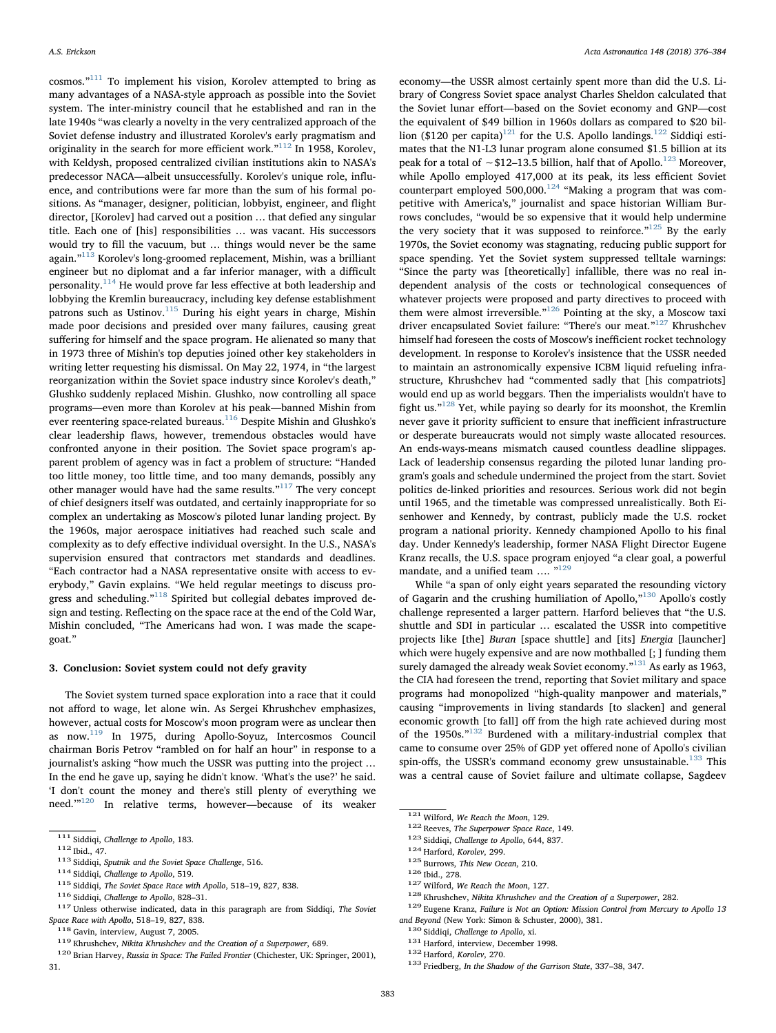cosmos."[111](#page-7-0) To implement his vision, Korolev attempted to bring as many advantages of a NASA-style approach as possible into the Soviet system. The inter-ministry council that he established and ran in the late 1940s "was clearly a novelty in the very centralized approach of the Soviet defense industry and illustrated Korolev's early pragmatism and originality in the search for more efficient work."[112](#page-7-1) In 1958, Korolev, with Keldysh, proposed centralized civilian institutions akin to NASA's predecessor NACA—albeit unsuccessfully. Korolev's unique role, influence, and contributions were far more than the sum of his formal positions. As "manager, designer, politician, lobbyist, engineer, and flight director, [Korolev] had carved out a position … that defied any singular title. Each one of [his] responsibilities … was vacant. His successors would try to fill the vacuum, but … things would never be the same again."[113](#page-7-2) Korolev's long-groomed replacement, Mishin, was a brilliant engineer but no diplomat and a far inferior manager, with a difficult personality.<sup>[114](#page-7-3)</sup> He would prove far less effective at both leadership and lobbying the Kremlin bureaucracy, including key defense establishment patrons such as Ustinov.<sup>[115](#page-7-4)</sup> During his eight years in charge, Mishin made poor decisions and presided over many failures, causing great suffering for himself and the space program. He alienated so many that in 1973 three of Mishin's top deputies joined other key stakeholders in writing letter requesting his dismissal. On May 22, 1974, in "the largest reorganization within the Soviet space industry since Korolev's death," Glushko suddenly replaced Mishin. Glushko, now controlling all space programs—even more than Korolev at his peak—banned Mishin from ever reentering space-related bureaus.<sup>[116](#page-7-5)</sup> Despite Mishin and Glushko's clear leadership flaws, however, tremendous obstacles would have confronted anyone in their position. The Soviet space program's apparent problem of agency was in fact a problem of structure: "Handed too little money, too little time, and too many demands, possibly any other manager would have had the same results."<sup>[117](#page-7-6)</sup> The very concept of chief designers itself was outdated, and certainly inappropriate for so complex an undertaking as Moscow's piloted lunar landing project. By the 1960s, major aerospace initiatives had reached such scale and complexity as to defy effective individual oversight. In the U.S., NASA's supervision ensured that contractors met standards and deadlines. "Each contractor had a NASA representative onsite with access to everybody," Gavin explains. "We held regular meetings to discuss pro-gress and scheduling."<sup>[118](#page-7-7)</sup> Spirited but collegial debates improved design and testing. Reflecting on the space race at the end of the Cold War, Mishin concluded, "The Americans had won. I was made the scapegoat."

## 3. Conclusion: Soviet system could not defy gravity

The Soviet system turned space exploration into a race that it could not afford to wage, let alone win. As Sergei Khrushchev emphasizes, however, actual costs for Moscow's moon program were as unclear then as now.[119](#page-7-8) In 1975, during Apollo-Soyuz, Intercosmos Council chairman Boris Petrov "rambled on for half an hour" in response to a journalist's asking "how much the USSR was putting into the project … In the end he gave up, saying he didn't know. 'What's the use?' he said. 'I don't count the money and there's still plenty of everything we need.'"[120](#page-7-9) In relative terms, however—because of its weaker

economy—the USSR almost certainly spent more than did the U.S. Library of Congress Soviet space analyst Charles Sheldon calculated that the Soviet lunar effort—based on the Soviet economy and GNP—cost the equivalent of \$49 billion in 1960s dollars as compared to \$20 bil-lion (\$120 per capita)<sup>[121](#page-7-10)</sup> for the U.S. Apollo landings.<sup>[122](#page-7-11)</sup> Siddiqi estimates that the N1-L3 lunar program alone consumed \$1.5 billion at its peak for a total of ∼\$12–13.5 billion, half that of Apollo.<sup>[123](#page-7-12)</sup> Moreover, while Apollo employed 417,000 at its peak, its less efficient Soviet counterpart employed 500,000.<sup>[124](#page-7-13)</sup> "Making a program that was competitive with America's," journalist and space historian William Burrows concludes, "would be so expensive that it would help undermine the very society that it was supposed to reinforce. $125$  By the early 1970s, the Soviet economy was stagnating, reducing public support for space spending. Yet the Soviet system suppressed telltale warnings: "Since the party was [theoretically] infallible, there was no real independent analysis of the costs or technological consequences of whatever projects were proposed and party directives to proceed with them were almost irreversible."[126](#page-7-15) Pointing at the sky, a Moscow taxi driver encapsulated Soviet failure: "There's our meat."<sup>[127](#page-7-16)</sup> Khrushchev himself had foreseen the costs of Moscow's inefficient rocket technology development. In response to Korolev's insistence that the USSR needed to maintain an astronomically expensive ICBM liquid refueling infrastructure, Khrushchev had "commented sadly that [his compatriots] would end up as world beggars. Then the imperialists wouldn't have to fight us."[128](#page-7-17) Yet, while paying so dearly for its moonshot, the Kremlin never gave it priority sufficient to ensure that inefficient infrastructure or desperate bureaucrats would not simply waste allocated resources. An ends-ways-means mismatch caused countless deadline slippages. Lack of leadership consensus regarding the piloted lunar landing program's goals and schedule undermined the project from the start. Soviet politics de-linked priorities and resources. Serious work did not begin until 1965, and the timetable was compressed unrealistically. Both Eisenhower and Kennedy, by contrast, publicly made the U.S. rocket program a national priority. Kennedy championed Apollo to his final day. Under Kennedy's leadership, former NASA Flight Director Eugene Kranz recalls, the U.S. space program enjoyed "a clear goal, a powerful mandate, and a unified team .... "<sup>[129](#page-7-18)</sup>

While "a span of only eight years separated the resounding victory of Gagarin and the crushing humiliation of Apollo,"[130](#page-7-19) Apollo's costly challenge represented a larger pattern. Harford believes that "the U.S. shuttle and SDI in particular … escalated the USSR into competitive projects like [the] Buran [space shuttle] and [its] Energia [launcher] which were hugely expensive and are now mothballed [; ] funding them surely damaged the already weak Soviet economy."<sup>[131](#page-7-20)</sup> As early as 1963, the CIA had foreseen the trend, reporting that Soviet military and space programs had monopolized "high-quality manpower and materials," causing "improvements in living standards [to slacken] and general economic growth [to fall] off from the high rate achieved during most of the 1950s."[132](#page-7-21) Burdened with a military-industrial complex that came to consume over 25% of GDP yet offered none of Apollo's civilian spin-offs, the USSR's command economy grew unsustainable.<sup>[133](#page-7-22)</sup> This was a central cause of Soviet failure and ultimate collapse, Sagdeev

<span id="page-7-17"></span>

<span id="page-7-1"></span>

<span id="page-7-2"></span>

<span id="page-7-3"></span>

<span id="page-7-4"></span>

<span id="page-7-5"></span>

<span id="page-7-0"></span><sup>&</sup>lt;sup>111</sup> Siddiqi, *Challenge to Apollo*, 183.<br>
<sup>112</sup> Ibid., 47.<br>
<sup>112</sup> Siddiqi, *Sputnik and the Soviet Space Challenge*, 516.<br>
<sup>114</sup> Siddiqi, *Challenge to Apollo*, 519.<br>
<sup>115</sup> Siddiqi, *The Soviet Space Race with Apollo*,

<span id="page-7-8"></span>

<span id="page-7-9"></span>

<span id="page-7-7"></span> $^{118}$  Gavin, interview, August 7, 2005.<br> $^{119}$  Khrushchev, Nikita Khrushchev and the Creation of a Superpower, 689.<br> $^{119}$  Etian Harvey, Russia in Space: The Failed Frontier (Chichester, UK: Springer, 2001), 31.

<span id="page-7-13"></span><span id="page-7-12"></span>

<span id="page-7-14"></span>

<span id="page-7-15"></span>

<span id="page-7-16"></span>

<span id="page-7-18"></span>

<span id="page-7-11"></span><span id="page-7-10"></span><sup>&</sup>lt;sup>121</sup> Wilford, *We Reach the Moon*, 129.<br>
<sup>122</sup> Reeves, *The Superpower Space Race*, 149.<br>
<sup>123</sup> Siddiqi, *Challenge to Apollo*, 644, 837.<br>
<sup>124</sup> Harford, *Korolev*, 299.<br>
<sup>126</sup> Diid., 278.<br>
<sup>126</sup> Uid., 278.<br>
<sup>126</sup> Uid., and Beyond (New York: Simon & Schuster, 2000), 381.<br>  $^{130}$  Siddiqi, Challenge to Apollo, xi.<br>  $^{131}$  Harford, interview, December 1998.<br>  $^{132}$  Harford, Korolev, 270.<br>  $^{133}$  Friedberg, In the Shadow of the Garrison

<span id="page-7-19"></span>

<span id="page-7-20"></span>

<span id="page-7-21"></span>

<span id="page-7-22"></span>